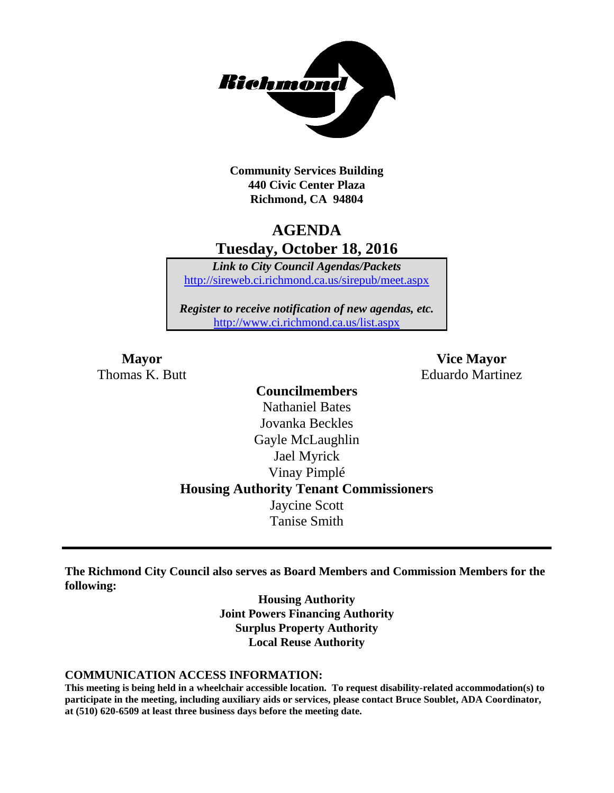

**Community Services Building 440 Civic Center Plaza Richmond, CA 94804**

# **AGENDA Tuesday, October 18, 2016**

*Link to City Council Agendas/Packets* <http://sireweb.ci.richmond.ca.us/sirepub/meet.aspx>

*Register to receive notification of new agendas, etc.* <http://www.ci.richmond.ca.us/list.aspx>

**Mayor Vice Mayor** Thomas K. Butt **Eduardo Martinez** 

### **Councilmembers** Nathaniel Bates Jovanka Beckles Gayle McLaughlin Jael Myrick Vinay Pimplé **Housing Authority Tenant Commissioners** Jaycine Scott Tanise Smith

**The Richmond City Council also serves as Board Members and Commission Members for the following:**

> **Housing Authority Joint Powers Financing Authority Surplus Property Authority Local Reuse Authority**

#### **COMMUNICATION ACCESS INFORMATION:**

**This meeting is being held in a wheelchair accessible location. To request disability-related accommodation(s) to participate in the meeting, including auxiliary aids or services, please contact Bruce Soublet, ADA Coordinator, at (510) 620-6509 at least three business days before the meeting date.**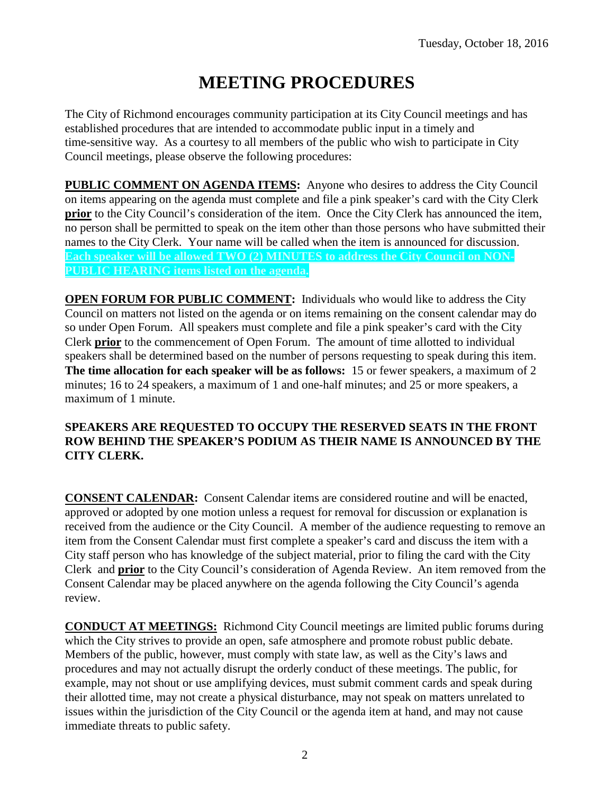# **MEETING PROCEDURES**

The City of Richmond encourages community participation at its City Council meetings and has established procedures that are intended to accommodate public input in a timely and time-sensitive way. As a courtesy to all members of the public who wish to participate in City Council meetings, please observe the following procedures:

**PUBLIC COMMENT ON AGENDA ITEMS:** Anyone who desires to address the City Council on items appearing on the agenda must complete and file a pink speaker's card with the City Clerk **prior** to the City Council's consideration of the item. Once the City Clerk has announced the item, no person shall be permitted to speak on the item other than those persons who have submitted their names to the City Clerk. Your name will be called when the item is announced for discussion. **Each speaker will be allowed TWO (2) MINUTES to address the City Council on NON-PUBLIC HEARING items listed on the agenda.**

**OPEN FORUM FOR PUBLIC COMMENT:** Individuals who would like to address the City Council on matters not listed on the agenda or on items remaining on the consent calendar may do so under Open Forum. All speakers must complete and file a pink speaker's card with the City Clerk **prior** to the commencement of Open Forum. The amount of time allotted to individual speakers shall be determined based on the number of persons requesting to speak during this item. **The time allocation for each speaker will be as follows:** 15 or fewer speakers, a maximum of 2 minutes; 16 to 24 speakers, a maximum of 1 and one-half minutes; and 25 or more speakers, a maximum of 1 minute.

#### **SPEAKERS ARE REQUESTED TO OCCUPY THE RESERVED SEATS IN THE FRONT ROW BEHIND THE SPEAKER'S PODIUM AS THEIR NAME IS ANNOUNCED BY THE CITY CLERK.**

**CONSENT CALENDAR:** Consent Calendar items are considered routine and will be enacted, approved or adopted by one motion unless a request for removal for discussion or explanation is received from the audience or the City Council. A member of the audience requesting to remove an item from the Consent Calendar must first complete a speaker's card and discuss the item with a City staff person who has knowledge of the subject material, prior to filing the card with the City Clerk and **prior** to the City Council's consideration of Agenda Review. An item removed from the Consent Calendar may be placed anywhere on the agenda following the City Council's agenda review.

**CONDUCT AT MEETINGS:** Richmond City Council meetings are limited public forums during which the City strives to provide an open, safe atmosphere and promote robust public debate. Members of the public, however, must comply with state law, as well as the City's laws and procedures and may not actually disrupt the orderly conduct of these meetings. The public, for example, may not shout or use amplifying devices, must submit comment cards and speak during their allotted time, may not create a physical disturbance, may not speak on matters unrelated to issues within the jurisdiction of the City Council or the agenda item at hand, and may not cause immediate threats to public safety.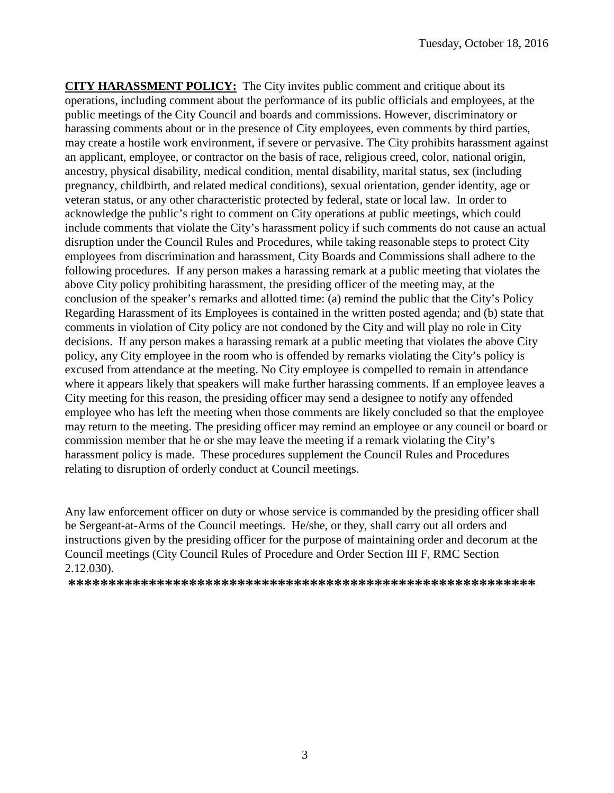**CITY HARASSMENT POLICY:** The City invites public comment and critique about its operations, including comment about the performance of its public officials and employees, at the public meetings of the City Council and boards and commissions. However, discriminatory or harassing comments about or in the presence of City employees, even comments by third parties, may create a hostile work environment, if severe or pervasive. The City prohibits harassment against an applicant, employee, or contractor on the basis of race, religious creed, color, national origin, ancestry, physical disability, medical condition, mental disability, marital status, sex (including pregnancy, childbirth, and related medical conditions), sexual orientation, gender identity, age or veteran status, or any other characteristic protected by federal, state or local law. In order to acknowledge the public's right to comment on City operations at public meetings, which could include comments that violate the City's harassment policy if such comments do not cause an actual disruption under the Council Rules and Procedures, while taking reasonable steps to protect City employees from discrimination and harassment, City Boards and Commissions shall adhere to the following procedures. If any person makes a harassing remark at a public meeting that violates the above City policy prohibiting harassment, the presiding officer of the meeting may, at the conclusion of the speaker's remarks and allotted time: (a) remind the public that the City's Policy Regarding Harassment of its Employees is contained in the written posted agenda; and (b) state that comments in violation of City policy are not condoned by the City and will play no role in City decisions. If any person makes a harassing remark at a public meeting that violates the above City policy, any City employee in the room who is offended by remarks violating the City's policy is excused from attendance at the meeting. No City employee is compelled to remain in attendance where it appears likely that speakers will make further harassing comments. If an employee leaves a City meeting for this reason, the presiding officer may send a designee to notify any offended employee who has left the meeting when those comments are likely concluded so that the employee may return to the meeting. The presiding officer may remind an employee or any council or board or commission member that he or she may leave the meeting if a remark violating the City's harassment policy is made. These procedures supplement the Council Rules and Procedures relating to disruption of orderly conduct at Council meetings.

Any law enforcement officer on duty or whose service is commanded by the presiding officer shall be Sergeant-at-Arms of the Council meetings. He/she, or they, shall carry out all orders and instructions given by the presiding officer for the purpose of maintaining order and decorum at the Council meetings (City Council Rules of Procedure and Order Section III F, RMC Section 2.12.030).

**\*\*\*\*\*\*\*\*\*\*\*\*\*\*\*\*\*\*\*\*\*\*\*\*\*\*\*\*\*\*\*\*\*\*\*\*\*\*\*\*\*\*\*\*\*\*\*\*\*\*\*\*\*\*\*\*\*\***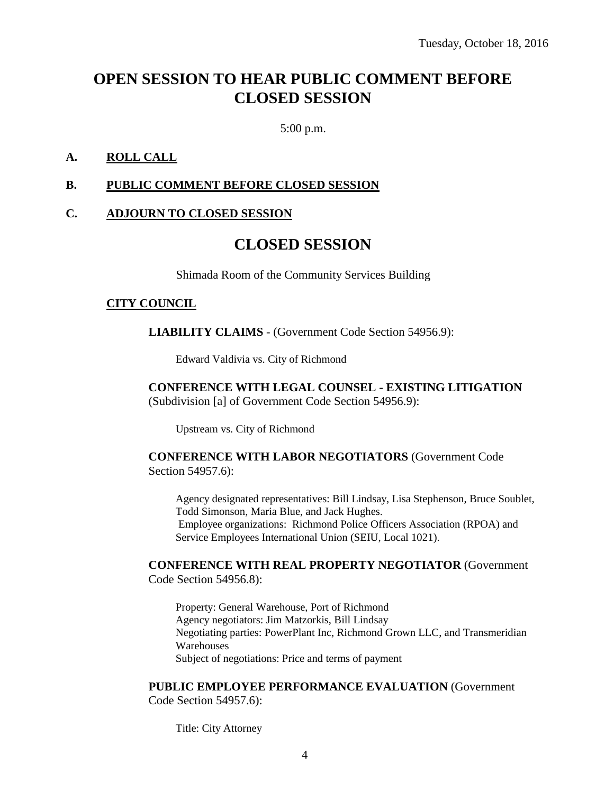# **OPEN SESSION TO HEAR PUBLIC COMMENT BEFORE CLOSED SESSION**

5:00 p.m.

#### **A. ROLL CALL**

#### **B. PUBLIC COMMENT BEFORE CLOSED SESSION**

#### **C. ADJOURN TO CLOSED SESSION**

### **CLOSED SESSION**

Shimada Room of the Community Services Building

#### **CITY COUNCIL**

**LIABILITY CLAIMS** - (Government Code Section 54956.9):

Edward Valdivia vs. City of Richmond

#### **CONFERENCE WITH LEGAL COUNSEL - EXISTING LITIGATION** (Subdivision [a] of Government Code Section 54956.9):

Upstream vs. City of Richmond

#### **CONFERENCE WITH LABOR NEGOTIATORS** (Government Code Section 54957.6):

Agency designated representatives: Bill Lindsay, Lisa Stephenson, Bruce Soublet, Todd Simonson, Maria Blue, and Jack Hughes. Employee organizations: Richmond Police Officers Association (RPOA) and Service Employees International Union (SEIU, Local 1021).

#### **CONFERENCE WITH REAL PROPERTY NEGOTIATOR** (Government Code Section 54956.8):

Property: General Warehouse, Port of Richmond Agency negotiators: Jim Matzorkis, Bill Lindsay Negotiating parties: PowerPlant Inc, Richmond Grown LLC, and Transmeridian **Warehouses** Subject of negotiations: Price and terms of payment

#### **PUBLIC EMPLOYEE PERFORMANCE EVALUATION** (Government

Code Section 54957.6):

Title: City Attorney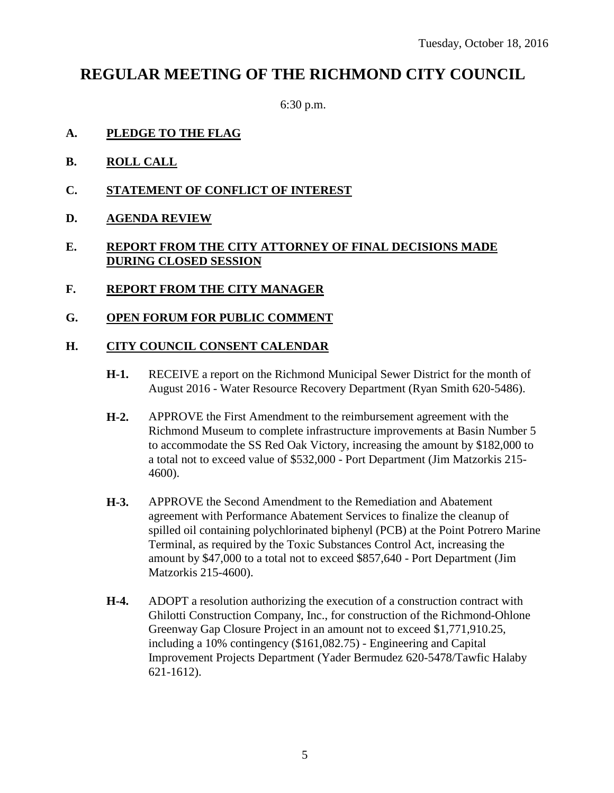## **REGULAR MEETING OF THE RICHMOND CITY COUNCIL**

6:30 p.m.

- **A. PLEDGE TO THE FLAG**
- **B. ROLL CALL**
- **C. STATEMENT OF CONFLICT OF INTEREST**
- **D. AGENDA REVIEW**

#### **E. REPORT FROM THE CITY ATTORNEY OF FINAL DECISIONS MADE DURING CLOSED SESSION**

- **F. REPORT FROM THE CITY MANAGER**
- **G. OPEN FORUM FOR PUBLIC COMMENT**

#### **H. CITY COUNCIL CONSENT CALENDAR**

- **H-1.** RECEIVE a report on the Richmond Municipal Sewer District for the month of August 2016 - Water Resource Recovery Department (Ryan Smith 620-5486).
- **H-2.** APPROVE the First Amendment to the reimbursement agreement with the Richmond Museum to complete infrastructure improvements at Basin Number 5 to accommodate the SS Red Oak Victory, increasing the amount by \$182,000 to a total not to exceed value of \$532,000 - Port Department (Jim Matzorkis 215- 4600).
- **H-3.** APPROVE the Second Amendment to the Remediation and Abatement agreement with Performance Abatement Services to finalize the cleanup of spilled oil containing polychlorinated biphenyl (PCB) at the Point Potrero Marine Terminal, as required by the Toxic Substances Control Act, increasing the amount by \$47,000 to a total not to exceed \$857,640 - Port Department (Jim Matzorkis 215-4600).
- **H-4.** ADOPT a resolution authorizing the execution of a construction contract with Ghilotti Construction Company, Inc., for construction of the Richmond-Ohlone Greenway Gap Closure Project in an amount not to exceed \$1,771,910.25, including a 10% contingency (\$161,082.75) - Engineering and Capital Improvement Projects Department (Yader Bermudez 620-5478/Tawfic Halaby 621-1612).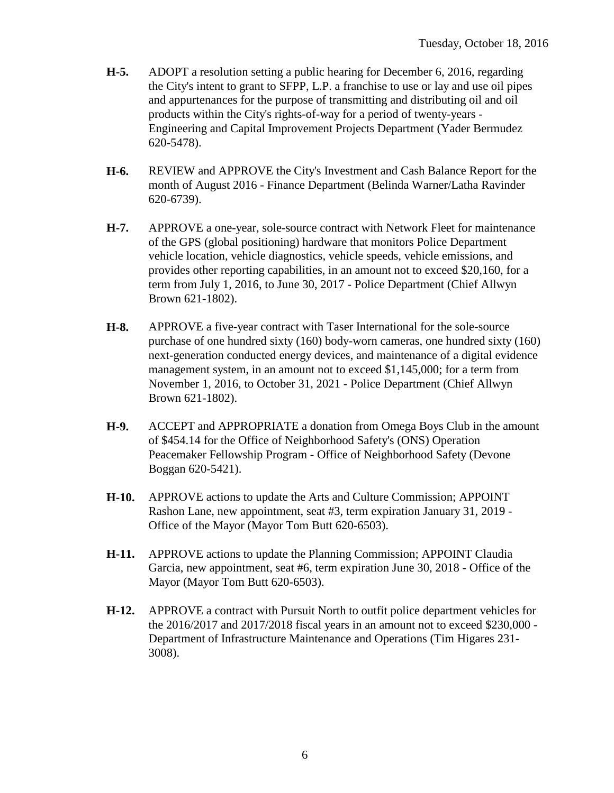- **H-5.** ADOPT a resolution setting a public hearing for December 6, 2016, regarding the City's intent to grant to SFPP, L.P. a franchise to use or lay and use oil pipes and appurtenances for the purpose of transmitting and distributing oil and oil products within the City's rights-of-way for a period of twenty-years - Engineering and Capital Improvement Projects Department (Yader Bermudez 620-5478).
- **H-6.** REVIEW and APPROVE the City's Investment and Cash Balance Report for the month of August 2016 - Finance Department (Belinda Warner/Latha Ravinder 620-6739).
- **H-7.** APPROVE a one-year, sole-source contract with Network Fleet for maintenance of the GPS (global positioning) hardware that monitors Police Department vehicle location, vehicle diagnostics, vehicle speeds, vehicle emissions, and provides other reporting capabilities, in an amount not to exceed \$20,160, for a term from July 1, 2016, to June 30, 2017 - Police Department (Chief Allwyn Brown 621-1802).
- **H-8.** APPROVE a five-year contract with Taser International for the sole-source purchase of one hundred sixty (160) body-worn cameras, one hundred sixty (160) next-generation conducted energy devices, and maintenance of a digital evidence management system, in an amount not to exceed \$1,145,000; for a term from November 1, 2016, to October 31, 2021 - Police Department (Chief Allwyn Brown 621-1802).
- **H-9.** ACCEPT and APPROPRIATE a donation from Omega Boys Club in the amount of \$454.14 for the Office of Neighborhood Safety's (ONS) Operation Peacemaker Fellowship Program - Office of Neighborhood Safety (Devone Boggan 620-5421).
- **H-10.** APPROVE actions to update the Arts and Culture Commission; APPOINT Rashon Lane, new appointment, seat #3, term expiration January 31, 2019 - Office of the Mayor (Mayor Tom Butt 620-6503).
- **H-11.** APPROVE actions to update the Planning Commission; APPOINT Claudia Garcia, new appointment, seat #6, term expiration June 30, 2018 - Office of the Mayor (Mayor Tom Butt 620-6503).
- **H-12.** APPROVE a contract with Pursuit North to outfit police department vehicles for the 2016/2017 and 2017/2018 fiscal years in an amount not to exceed \$230,000 - Department of Infrastructure Maintenance and Operations (Tim Higares 231- 3008).